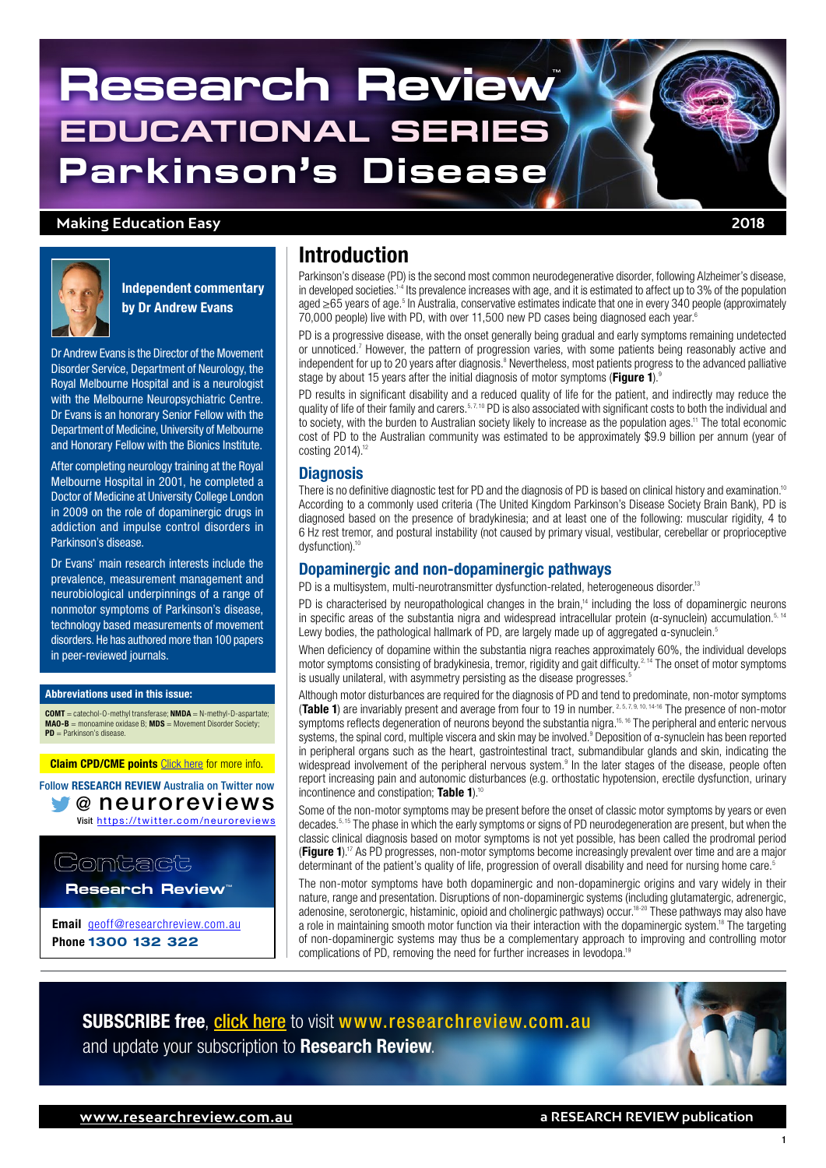# **Research Review EDUCATIONAL SERIES Parkinson's Disease**

### **Making Education Easy 2018**



Independent commentary by Dr Andrew Evans

Dr Andrew Evans is the Director of the Movement Disorder Service, Department of Neurology, the Royal Melbourne Hospital and is a neurologist with the Melbourne Neuropsychiatric Centre. Dr Evans is an honorary Senior Fellow with the Department of Medicine, University of Melbourne and Honorary Fellow with the Bionics Institute.

After completing neurology training at the Royal Melbourne Hospital in 2001, he completed a Doctor of Medicine at University College London in 2009 on the role of dopaminergic drugs in addiction and impulse control disorders in Parkinson's disease.

Dr Evans' main research interests include the prevalence, measurement management and neurobiological underpinnings of a range of nonmotor symptoms of Parkinson's disease, technology based measurements of movement disorders. He has authored more than 100 papers in peer-reviewed journals.

### Abbreviations used in this issue:

 $COMT =$  catechol- $0$ -methyl transferase;  $NMDA = N$ -methyl- $D$ -aspartate **MAO-B** = monoamine oxidase B; **MDS** = Movement Disorder Society;<br>**PD** = Parkinson's disease.

**[Claim CPD/CME points](https://www.researchreview.com.au/cpd?site=au) Click here for more info.** 

@ [neuroreviews](https://www.researchreview.com.au/au/home.aspx) Visit [https://twitter.com/neuroreviews](https://www.researchreview.com.au/au/home.aspx) Follow RESEARCH REVIEW Australia on Twitter now

Contact

**Research Review** 

Email [geoff@researchreview.com.au](mailto:geoff%40researchreview.com.au?subject=Research%20Review%20Enquiry) Phone 1300 132 322

### Introduction

Parkinson's disease (PD) is the second most common neurodegenerative disorder, following Alzheimer's disease, in developed societies.<sup>1-4</sup> Its prevalence increases with age, and it is estimated to affect up to 3% of the population aged ≥65 years of age.<sup>5</sup> In Australia, conservative estimates indicate that one in every 340 people (approximately 70,000 people) live with PD, with over 11,500 new PD cases being diagnosed each year.<sup>6</sup>

PD is a progressive disease, with the onset generally being gradual and early symptoms remaining undetected or unnoticed.<sup>7</sup> However, the pattern of progression varies, with some patients being reasonably active and independent for up to 20 years after diagnosis.<sup>8</sup> Nevertheless, most patients progress to the advanced palliative stage by about 15 years after the initial diagnosis of motor symptoms (Figure 1).<sup>9</sup>

PD results in significant disability and a reduced quality of life for the patient, and indirectly may reduce the quality of life of their family and carers.<sup>5,7,10</sup> PD is also associated with significant costs to both the individual and to society, with the burden to Australian society likely to increase as the population ages.<sup>11</sup> The total economic cost of PD to the Australian community was estimated to be approximately \$9.9 billion per annum (year of costing 2014).<sup>12</sup>

### **Diagnosis**

There is no definitive diagnostic test for PD and the diagnosis of PD is based on clinical history and examination.<sup>10</sup> According to a commonly used criteria (The United Kingdom Parkinson's Disease Society Brain Bank), PD is diagnosed based on the presence of bradykinesia; and at least one of the following: muscular rigidity, 4 to 6 Hz rest tremor, and postural instability (not caused by primary visual, vestibular, cerebellar or proprioceptive dysfunction).<sup>10</sup>

### Dopaminergic and non-dopaminergic pathways

PD is a multisystem, multi-neurotransmitter dysfunction-related, heterogeneous disorder.<sup>13</sup>

PD is characterised by neuropathological changes in the brain.<sup>14</sup> including the loss of dopaminergic neurons in specific areas of the substantia nigra and widespread intracellular protein ( $\alpha$ -synuclein) accumulation.<sup>5, 14</sup> Lewy bodies, the pathological hallmark of PD, are largely made up of aggregated α-synuclein.<sup>5</sup>

When deficiency of dopamine within the substantia nigra reaches approximately 60%, the individual develops motor symptoms consisting of bradykinesia, tremor, rigidity and gait difficulty.<sup>2, 14</sup> The onset of motor symptoms is usually unilateral, with asymmetry persisting as the disease progresses.<sup>5</sup>

Although motor disturbances are required for the diagnosis of PD and tend to predominate, non-motor symptoms (Table 1) are invariably present and average from four to 19 in number. 2, 5, 7, 9, 10, 14-16 The presence of non-motor symptoms reflects degeneration of neurons beyond the substantia nigra.<sup>15, 16</sup> The peripheral and enteric nervous systems, the spinal cord, multiple viscera and skin may be involved.<sup>9</sup> Deposition of α-synuclein has been reported in peripheral organs such as the heart, gastrointestinal tract, submandibular glands and skin, indicating the widespread involvement of the peripheral nervous system.<sup>9</sup> In the later stages of the disease, people often report increasing pain and autonomic disturbances (e.g. orthostatic hypotension, erectile dysfunction, urinary incontinence and constipation; Table 1). $10$ 

Some of the non-motor symptoms may be present before the onset of classic motor symptoms by years or even decades.5, 15 The phase in which the early symptoms or signs of PD neurodegeneration are present, but when the classic clinical diagnosis based on motor symptoms is not yet possible, has been called the prodromal period **(Figure 1).**<sup>17</sup> As PD progresses, non-motor symptoms become increasingly prevalent over time and are a major determinant of the patient's quality of life, progression of overall disability and need for nursing home care.<sup>5</sup>

The non-motor symptoms have both dopaminergic and non-dopaminergic origins and vary widely in their nature, range and presentation. Disruptions of non-dopaminergic systems (including glutamatergic, adrenergic, adenosine, serotonergic, histaminic, opioid and cholinergic pathways) occur.<sup>18-20</sup> These pathways may also have a role in maintaining smooth motor function via their interaction with the dopaminergic system.<sup>18</sup> The targeting of non-dopaminergic systems may thus be a complementary approach to improving and controlling motor complications of PD, removing the need for further increases in levodopa.19

**SUBSCRIBE free, click here** to visit [www.researchreview.com.au](http://www.researchreview.com.au) [and update your subscription to](http://www.researchreview.com.au) Research Review.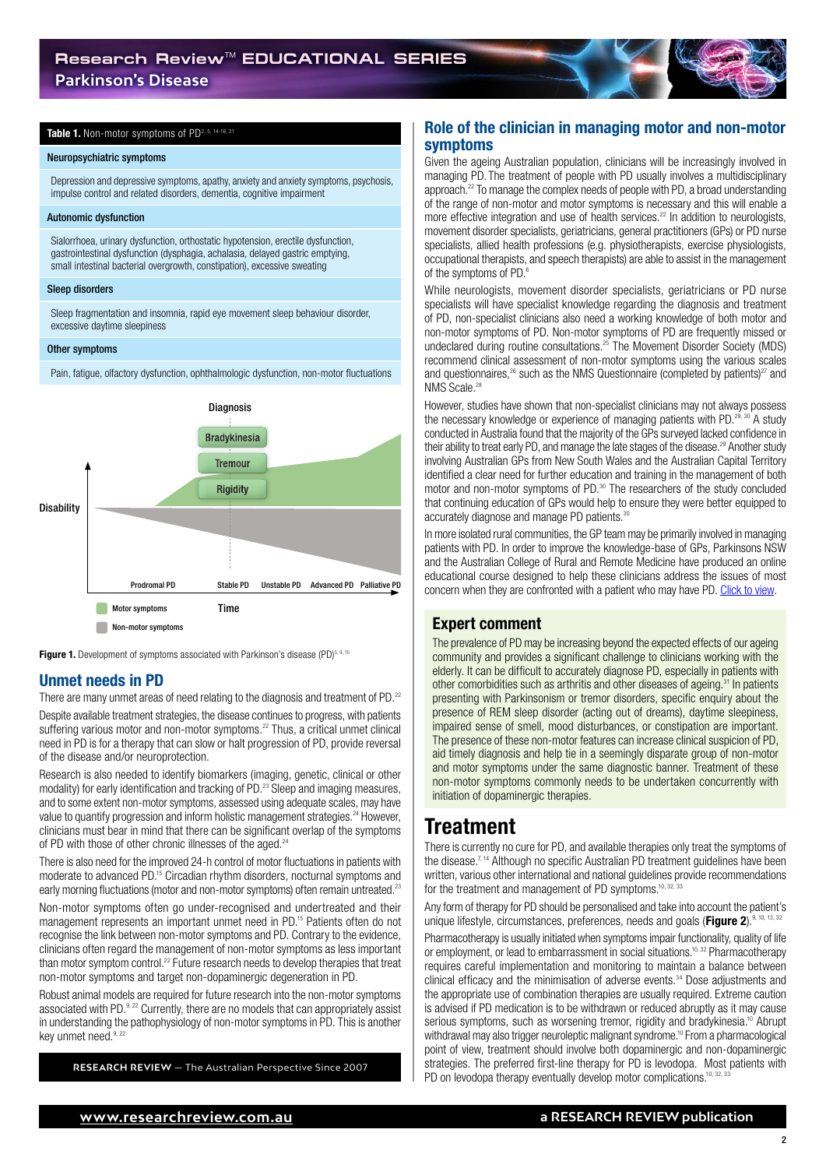#### Table 1. Non-motor symptoms of PD<sup>2, 5, 14-16, 21</sup>

#### Neuropsychiatric symptoms

Depression and depressive symptoms, apathy, anxiety and anxiety symptoms, psychosis, impulse control and related disorders, dementia, cognitive impairment

#### Autonomic dysfunction

Sialorrhoea, urinary dysfunction, orthostatic hypotension, erectile dysfunction, gastrointestinal dysfunction (dysphagia, achalasia, delayed gastric emptying, small intestinal bacterial overgrowth, constipation), excessive sweating

#### Sleep disorders

Sleep fragmentation and insomnia, rapid eye movement sleep behaviour disorder, excessive daytime sleepiness

#### Other symptoms

Pain, fatigue, olfactory dysfunction, ophthalmologic dysfunction, non-motor fluctuations



**Figure 1.** Development of symptoms associated with Parkinson's disease (PD) $5,9,15$ 

### Unmet needs in PD

There are many unmet areas of need relating to the diagnosis and treatment of PD.<sup>22</sup> Despite available treatment strategies, the disease continues to progress, with patients suffering various motor and non-motor symptoms.<sup>22</sup> Thus, a critical unmet clinical need in PD is for a therapy that can slow or halt progression of PD, provide reversal of the disease and/or neuroprotection.

Research is also needed to identify biomarkers (imaging, genetic, clinical or other modality) for early identification and tracking of PD.<sup>23</sup> Sleep and imaging measures, and to some extent non-motor symptoms, assessed using adequate scales, may have value to quantify progression and inform holistic management strategies.<sup>24</sup> However, clinicians must bear in mind that there can be significant overlap of the symptoms of PD with those of other chronic illnesses of the aged.<sup>24</sup>

There is also need for the improved 24-h control of motor fluctuations in patients with moderate to advanced PD.<sup>15</sup> Circadian rhythm disorders, nocturnal symptoms and early morning fluctuations (motor and non-motor symptoms) often remain untreated.<sup>23</sup>

Non-motor symptoms often go under-recognised and undertreated and their management represents an important unmet need in PD.15 Patients often do not recognise the link between non-motor symptoms and PD. Contrary to the evidence, clinicians often regard the management of non-motor symptoms as less important than motor symptom control.<sup>22</sup> Future research needs to develop therapies that treat non-motor symptoms and target non-dopaminergic degeneration in PD.

Robust animal models are required for future research into the non-motor symptoms associated with PD.<sup>9, 22</sup> Currently, there are no models that can appropriately assist in understanding the pathophysiology of non-motor symptoms in PD. This is another key unmet need.<sup>9, 22</sup>

**RESEARCH REVIEW** — The Australian Perspective Since 2007

### Role of the clinician in managing motor and non-motor symptoms

Given the ageing Australian population, clinicians will be increasingly involved in managing PD. The treatment of people with PD usually involves a multidisciplinary approach.22 To manage the complex needs of people with PD, a broad understanding of the range of non-motor and motor symptoms is necessary and this will enable a more effective integration and use of health services.<sup>22</sup> In addition to neurologists, movement disorder specialists, geriatricians, general practitioners (GPs) or PD nurse specialists, allied health professions (e.g. physiotherapists, exercise physiologists, occupational therapists, and speech therapists) are able to assist in the management of the symptoms of PD.<sup>6</sup>

While neurologists, movement disorder specialists, geriatricians or PD nurse specialists will have specialist knowledge regarding the diagnosis and treatment of PD, non-specialist clinicians also need a working knowledge of both motor and non-motor symptoms of PD. Non-motor symptoms of PD are frequently missed or undeclared during routine consultations.25 The Movement Disorder Society (MDS) recommend clinical assessment of non-motor symptoms using the various scales and questionnaires,  $26$  such as the NMS Questionnaire (completed by patients) $27$  and NMS Scale.<sup>28</sup>

However, studies have shown that non-specialist clinicians may not always possess the necessary knowledge or experience of managing patients with PD.<sup>29, 30</sup> A study conducted in Australia found that the majority of the GPs surveyed lacked confidence in their ability to treat early PD, and manage the late stages of the disease.<sup>29</sup> Another study involving Australian GPs from New South Wales and the Australian Capital Territory identified a clear need for further education and training in the management of both motor and non-motor symptoms of PD.30 The researchers of the study concluded that continuing education of GPs would help to ensure they were better equipped to accurately diagnose and manage PD patients.<sup>30</sup>

In more isolated rural communities, the GP team may be primarily involved in managing patients with PD. In order to improve the knowledge-base of GPs, Parkinsons NSW and the Australian College of Rural and Remote Medicine have produced an online educational course designed to help these clinicians address the issues of most concern when they are confronted with a patient who may have PD. [Click to view](http://www.acrrm.org.au/search?query=parkinsons&collection=acrrm-meta-public).

### Expert comment

The prevalence of PD may be increasing beyond the expected effects of our ageing community and provides a significant challenge to clinicians working with the elderly. It can be difficult to accurately diagnose PD, especially in patients with other comorbidities such as arthritis and other diseases of ageing.31 In patients presenting with Parkinsonism or tremor disorders, specific enquiry about the presence of REM sleep disorder (acting out of dreams), daytime sleepiness, impaired sense of smell, mood disturbances, or constipation are important. The presence of these non-motor features can increase clinical suspicion of PD, aid timely diagnosis and help tie in a seemingly disparate group of non-motor and motor symptoms under the same diagnostic banner. Treatment of these non-motor symptoms commonly needs to be undertaken concurrently with initiation of dopaminergic therapies.

### Treatment

There is currently no cure for PD, and available therapies only treat the symptoms of the disease.<sup>7, 14</sup> Although no specific Australian PD treatment guidelines have been written, various other international and national guidelines provide recommendations for the treatment and management of PD symptoms.<sup>10, 3</sup>

Any form of therapy for PD should be personalised and take into account the patient's unique lifestyle, circumstances, preferences, needs and goals (**Figure 2**).<sup>9, 10, 13</sup>

Pharmacotherapy is usually initiated when symptoms impair functionality, quality of life or employment, or lead to embarrassment in social situations.10, 32 Pharmacotherapy requires careful implementation and monitoring to maintain a balance between clinical efficacy and the minimisation of adverse events.<sup>34</sup> Dose adjustments and the appropriate use of combination therapies are usually required. Extreme caution is advised if PD medication is to be withdrawn or reduced abruptly as it may cause serious symptoms, such as worsening tremor, rigidity and bradykinesia.<sup>10</sup> Abrupt withdrawal may also trigger neuroleptic malignant syndrome.<sup>10</sup> From a pharmacological point of view, treatment should involve both dopaminergic and non-dopaminergic strategies. The preferred first-line therapy for PD is levodopa. Most patients with PD on levodopa therapy eventually develop motor complications.<sup>10,</sup>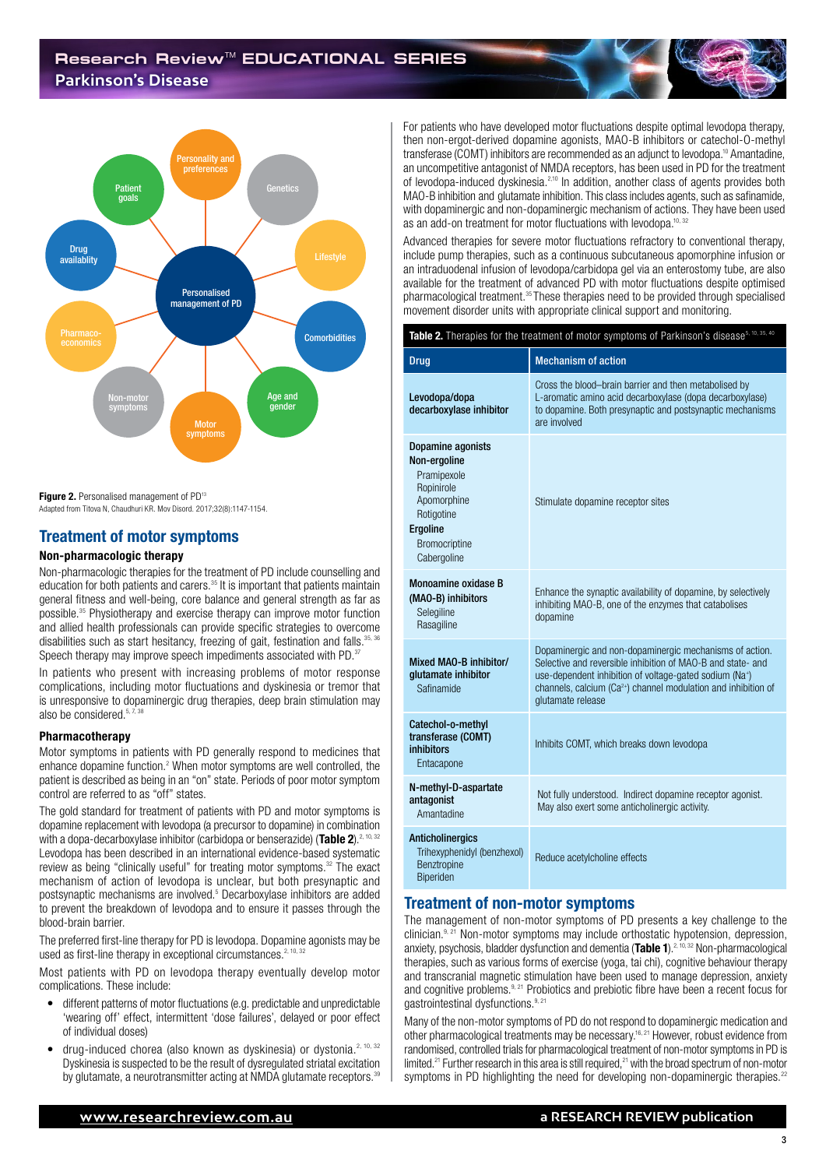### **Research Review**TM **EDUCATIONAL SERIES Parkinson's Disease**



Figure 2. Personalised management of PD<sup>13</sup>

Adapted from Titova N, Chaudhuri KR. Mov Disord. 2017;32(8):1147-1154.

### Treatment of motor symptoms

#### Non-pharmacologic therapy

Non-pharmacologic therapies for the treatment of PD include counselling and education for both patients and carers.<sup>35</sup> It is important that patients maintain general fitness and well-being, core balance and general strength as far as possible.35 Physiotherapy and exercise therapy can improve motor function and allied health professionals can provide specific strategies to overcome disabilities such as start hesitancy, freezing of gait, festination and falls.<sup>35,</sup> Speech therapy may improve speech impediments associated with PD.<sup>37</sup>

In patients who present with increasing problems of motor response complications, including motor fluctuations and dyskinesia or tremor that is unresponsive to dopaminergic drug therapies, deep brain stimulation may also be considered.<sup>5, 7, 3</sup>

### Pharmacotherapy

Motor symptoms in patients with PD generally respond to medicines that enhance dopamine function.<sup>2</sup> When motor symptoms are well controlled, the patient is described as being in an "on" state. Periods of poor motor symptom control are referred to as "off" states.

The gold standard for treatment of patients with PD and motor symptoms is dopamine replacement with levodopa (a precursor to dopamine) in combination with a dopa-decarboxylase inhibitor (carbidopa or benserazide) (Table 2).<sup>2, 10, 32</sup> Levodopa has been described in an international evidence-based systematic review as being "clinically useful" for treating motor symptoms.<sup>32</sup> The exact mechanism of action of levodopa is unclear, but both presynaptic and postsynaptic mechanisms are involved.<sup>5</sup> Decarboxylase inhibitors are added to prevent the breakdown of levodopa and to ensure it passes through the blood-brain barrier.

The preferred first-line therapy for PD is levodopa. Dopamine agonists may be used as first-line therapy in exceptional circumstances.<sup>2, 10, 32</sup>

Most patients with PD on levodopa therapy eventually develop motor complications. These include:

- different patterns of motor fluctuations (e.g. predictable and unpredictable 'wearing off' effect, intermittent 'dose failures', delayed or poor effect of individual doses)
- drug-induced chorea (also known as dyskinesia) or dystonia.<sup>2, 10, 32</sup> Dyskinesia is suspected to be the result of dysregulated striatal excitation by glutamate, a neurotransmitter acting at NMDA glutamate receptors.<sup>39</sup>

For patients who have developed motor fluctuations despite optimal levodopa therapy, then non-ergot-derived dopamine agonists, MAO-B inhibitors or catechol-O-methyl transferase (COMT) inhibitors are recommended as an adjunct to levodopa.10 Amantadine, an uncompetitive antagonist of NMDA receptors, has been used in PD for the treatment of levodopa-induced dyskinesia.2,10 In addition, another class of agents provides both MAO-B inhibition and glutamate inhibition. This class includes agents, such as safinamide, with dopaminergic and non-dopaminergic mechanism of actions. They have been used as an add-on treatment for motor fluctuations with levodopa.<sup>10, 32</sup>

Advanced therapies for severe motor fluctuations refractory to conventional therapy, include pump therapies, such as a continuous subcutaneous apomorphine infusion or an intraduodenal infusion of levodopa/carbidopa gel via an enterostomy tube, are also available for the treatment of advanced PD with motor fluctuations despite optimised pharmacological treatment.35 These therapies need to be provided through specialised movement disorder units with appropriate clinical support and monitoring.

| Table 2. Therapies for the treatment of motor symptoms of Parkinson's disease <sup>5, 10, 35, 40</sup>                                         |                                                                                                                                                                                                                                                                                                  |
|------------------------------------------------------------------------------------------------------------------------------------------------|--------------------------------------------------------------------------------------------------------------------------------------------------------------------------------------------------------------------------------------------------------------------------------------------------|
| <b>Drug</b>                                                                                                                                    | <b>Mechanism of action</b>                                                                                                                                                                                                                                                                       |
| Levodopa/dopa<br>decarboxylase inhibitor                                                                                                       | Cross the blood-brain barrier and then metabolised by<br>L-aromatic amino acid decarboxylase (dopa decarboxylase)<br>to dopamine. Both presynaptic and postsynaptic mechanisms<br>are involved                                                                                                   |
| Dopamine agonists<br>Non-ergoline<br>Pramipexole<br>Ropinirole<br>Apomorphine<br>Rotigotine<br>Ergoline<br><b>Bromocriptine</b><br>Cabergoline | Stimulate dopamine receptor sites                                                                                                                                                                                                                                                                |
| <b>Monoamine oxidase B</b><br>(MAO-B) inhibitors<br>Selegiline<br>Rasagiline                                                                   | Enhance the synaptic availability of dopamine, by selectively<br>inhibiting MAO-B, one of the enzymes that catabolises<br>dopamine                                                                                                                                                               |
| Mixed MAO-B inhibitor/<br>glutamate inhibitor<br>Safinamide                                                                                    | Dopaminergic and non-dopaminergic mechanisms of action.<br>Selective and reversible inhibition of MAO-B and state- and<br>use-dependent inhibition of voltage-gated sodium (Na <sup>+</sup> )<br>channels, calcium (Ca <sup>2+</sup> ) channel modulation and inhibition of<br>glutamate release |
| Catechol-o-methyl<br>transferase (COMT)<br>inhibitors<br>Entacapone                                                                            | Inhibits COMT, which breaks down levodopa                                                                                                                                                                                                                                                        |
| N-methyl-D-aspartate<br>antagonist<br>Amantadine                                                                                               | Not fully understood. Indirect dopamine receptor agonist.<br>May also exert some anticholinergic activity.                                                                                                                                                                                       |
| <b>Anticholinergics</b><br>Trihexyphenidyl (benzhexol)<br>Benztropine<br>Rineriden                                                             | Reduce acetylcholine effects                                                                                                                                                                                                                                                                     |

### Treatment of non-motor symptoms

The management of non-motor symptoms of PD presents a key challenge to the  $\chi$ clinician.<sup>9, 21</sup> Non-motor symptoms may include orthostatic hypotension, depression, anxiety, psychosis, bladder dysfunction and dementia (Table 1).<sup>2, 10, 32</sup> Non-pharmacological therapies, such as various forms of exercise (yoga, tai chi), cognitive behaviour therapy and transcranial magnetic stimulation have been used to manage depression, anxiety and cognitive problems.<sup>9, 21</sup> Probiotics and prebiotic fibre have been a recent focus for gastrointestinal dysfunctions.<sup>9, 21</sup>

Many of the non-motor symptoms of PD do not respond to dopaminergic medication and other pharmacological treatments may be necessary.16, 21 However, robust evidence from randomised, controlled trials for pharmacological treatment of non-motor symptoms in PD is limited.<sup>21</sup> Further research in this area is still required, $21$  with the broad spectrum of non-motor symptoms in PD highlighting the need for developing non-dopaminergic therapies.<sup>22</sup>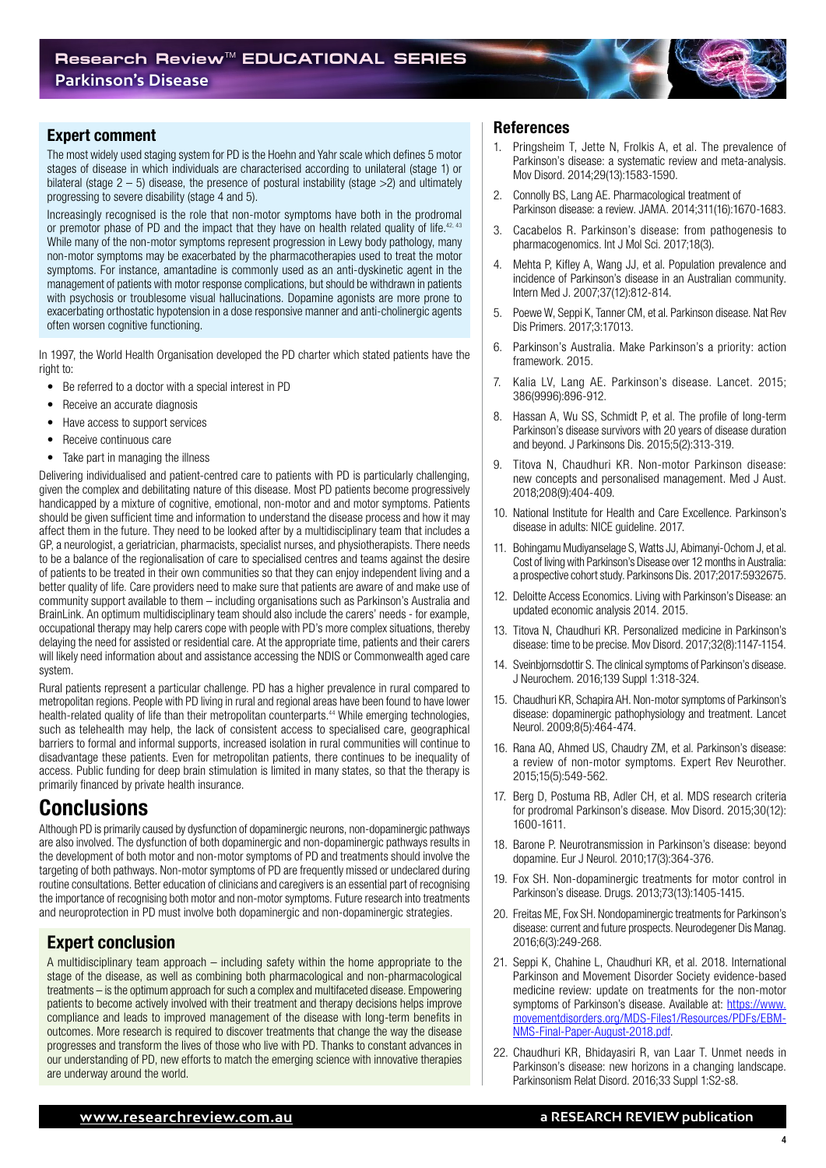### Expert comment

The most widely used staging system for PD is the Hoehn and Yahr scale which defines 5 motor stages of disease in which individuals are characterised according to unilateral (stage 1) or bilateral (stage  $2 - 5$ ) disease, the presence of postural instability (stage  $>2$ ) and ultimately progressing to severe disability (stage 4 and 5).

Increasingly recognised is the role that non-motor symptoms have both in the prodromal or premotor phase of PD and the impact that they have on health related quality of life.<sup>42, 43</sup> While many of the non-motor symptoms represent progression in Lewy body pathology, many non-motor symptoms may be exacerbated by the pharmacotherapies used to treat the motor symptoms. For instance, amantadine is commonly used as an anti-dyskinetic agent in the management of patients with motor response complications, but should be withdrawn in patients with psychosis or troublesome visual hallucinations. Dopamine agonists are more prone to exacerbating orthostatic hypotension in a dose responsive manner and anti-cholinergic agents often worsen cognitive functioning.

In 1997, the World Health Organisation developed the PD charter which stated patients have the right to:

- Be referred to a doctor with a special interest in PD
- Receive an accurate diagnosis
- Have access to support services
- Receive continuous care
- Take part in managing the illness

Delivering individualised and patient-centred care to patients with PD is particularly challenging, given the complex and debilitating nature of this disease. Most PD patients become progressively handicapped by a mixture of cognitive, emotional, non-motor and and motor symptoms. Patients should be given sufficient time and information to understand the disease process and how it may affect them in the future. They need to be looked after by a multidisciplinary team that includes a GP, a neurologist, a geriatrician, pharmacists, specialist nurses, and physiotherapists. There needs to be a balance of the regionalisation of care to specialised centres and teams against the desire of patients to be treated in their own communities so that they can enjoy independent living and a better quality of life. Care providers need to make sure that patients are aware of and make use of community support available to them – including organisations such as Parkinson's Australia and BrainLink. An optimum multidisciplinary team should also include the carers' needs - for example, occupational therapy may help carers cope with people with PD's more complex situations, thereby delaying the need for assisted or residential care. At the appropriate time, patients and their carers will likely need information about and assistance accessing the NDIS or Commonwealth aged care system.

Rural patients represent a particular challenge. PD has a higher prevalence in rural compared to metropolitan regions. People with PD living in rural and regional areas have been found to have lower health-related quality of life than their metropolitan counterparts.44 While emerging technologies, such as telehealth may help, the lack of consistent access to specialised care, geographical barriers to formal and informal supports, increased isolation in rural communities will continue to disadvantage these patients. Even for metropolitan patients, there continues to be inequality of access. Public funding for deep brain stimulation is limited in many states, so that the therapy is primarily financed by private health insurance.

### Conclusions

Although PD is primarily caused by dysfunction of dopaminergic neurons, non-dopaminergic pathways are also involved. The dysfunction of both dopaminergic and non-dopaminergic pathways results in the development of both motor and non-motor symptoms of PD and treatments should involve the targeting of both pathways. Non-motor symptoms of PD are frequently missed or undeclared during routine consultations. Better education of clinicians and caregivers is an essential part of recognising the importance of recognising both motor and non-motor symptoms. Future research into treatments and neuroprotection in PD must involve both dopaminergic and non-dopaminergic strategies.

### Expert conclusion

A multidisciplinary team approach – including safety within the home appropriate to the stage of the disease, as well as combining both pharmacological and non-pharmacological treatments – is the optimum approach for such a complex and multifaceted disease. Empowering patients to become actively involved with their treatment and therapy decisions helps improve compliance and leads to improved management of the disease with long-term benefits in outcomes. More research is required to discover treatments that change the way the disease progresses and transform the lives of those who live with PD. Thanks to constant advances in our understanding of PD, new efforts to match the emerging science with innovative therapies are underway around the world.

### References

- 1. Pringsheim T, Jette N, Frolkis A, et al. The prevalence of Parkinson's disease: a systematic review and meta-analysis. Mov Disord. 2014;29(13):1583-1590.
- 2. Connolly BS, Lang AE. Pharmacological treatment of Parkinson disease: a review. JAMA. 2014;311(16):1670-1683.
- 3. Cacabelos R. Parkinson's disease: from pathogenesis to pharmacogenomics. Int J Mol Sci. 2017;18(3).
- 4. Mehta P, Kifley A, Wang JJ, et al. Population prevalence and incidence of Parkinson's disease in an Australian community. Intern Med J. 2007;37(12):812-814.
- 5. Poewe W, Seppi K, Tanner CM, et al. Parkinson disease. Nat Rev Dis Primers. 2017;3:17013.
- 6. Parkinson's Australia. Make Parkinson's a priority: action framework. 2015.
- 7. Kalia LV, Lang AE. Parkinson's disease. Lancet. 2015; 386(9996):896-912.
- 8. Hassan A, Wu SS, Schmidt P, et al. The profile of long-term Parkinson's disease survivors with 20 years of disease duration and beyond. J Parkinsons Dis. 2015;5(2):313-319.
- 9. Titova N, Chaudhuri KR. Non-motor Parkinson disease: new concepts and personalised management. Med J Aust. 2018;208(9):404-409.
- 10. National Institute for Health and Care Excellence. Parkinson's disease in adults: NICE guideline. 2017.
- 11. Bohingamu Mudiyanselage S, Watts JJ, Abimanyi-Ochom J, et al. Cost of living with Parkinson's Disease over 12 months in Australia: a prospective cohort study. Parkinsons Dis. 2017;2017:5932675.
- 12. Deloitte Access Economics. Living with Parkinson's Disease: an updated economic analysis 2014. 2015.
- 13. Titova N, Chaudhuri KR. Personalized medicine in Parkinson's disease: time to be precise. Mov Disord. 2017;32(8):1147-1154.
- 14. Sveinbjornsdottir S. The clinical symptoms of Parkinson's disease. J Neurochem. 2016;139 Suppl 1:318-324.
- 15. Chaudhuri KR, Schapira AH. Non-motor symptoms of Parkinson's disease: dopaminergic pathophysiology and treatment. Lancet Neurol. 2009;8(5):464-474.
- 16. Rana AQ, Ahmed US, Chaudry ZM, et al. Parkinson's disease: a review of non-motor symptoms. Expert Rev Neurother. 2015;15(5):549-562.
- 17. Berg D, Postuma RB, Adler CH, et al. MDS research criteria for prodromal Parkinson's disease. Mov Disord. 2015;30(12): 1600-1611.
- 18. Barone P. Neurotransmission in Parkinson's disease: beyond dopamine. Eur J Neurol. 2010;17(3):364-376.
- 19. Fox SH. Non-dopaminergic treatments for motor control in Parkinson's disease. Drugs. 2013;73(13):1405-1415.
- 20. Freitas ME, Fox SH. Nondopaminergic treatments for Parkinson's disease: current and future prospects. Neurodegener Dis Manag. 2016;6(3):249-268.
- 21. Seppi K, Chahine L, Chaudhuri KR, et al. 2018. International Parkinson and Movement Disorder Society evidence-based medicine review: update on treatments for the non-motor symptoms of Parkinson's disease. Available at: [https://www.](https://www.movementdisorders.org/MDS-Files1/Resources/PDFs/EBM-NMS-Final-Paper-August-2018.pdf) [movementdisorders.org/MDS-Files1/Resources/PDFs/EBM-](https://www.movementdisorders.org/MDS-Files1/Resources/PDFs/EBM-NMS-Final-Paper-August-2018.pdf)[NMS-Final-Paper-August-2018.pdf](https://www.movementdisorders.org/MDS-Files1/Resources/PDFs/EBM-NMS-Final-Paper-August-2018.pdf).
- 22. Chaudhuri KR, Bhidayasiri R, van Laar T. Unmet needs in Parkinson's disease: new horizons in a changing landscape. Parkinsonism Relat Disord. 2016;33 Suppl 1:S2-s8.